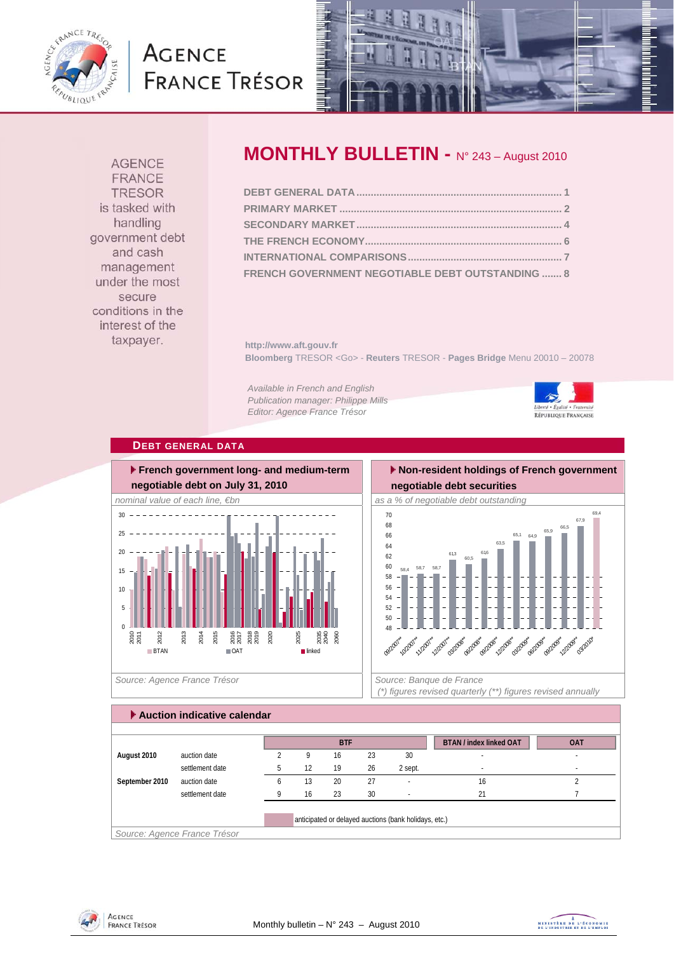

# **AGENCE FRANCE TRÉSOR**



**AGENCE FRANCE TRESOR** is tasked with handling government debt and cash management under the most secure conditions in the interest of the taxpayer.

## **MONTHLY BULLETIN -** N° 243 – August 2010

| FRENCH GOVERNMENT NEGOTIABLE DEBT OUTSTANDING  8 |  |
|--------------------------------------------------|--|

**http://www.aft.gouv.fr Bloomberg** TRESOR <Go> - **Reuters** TRESOR - **Pages Bridge** Menu 20010 – 20078

*Available in French and English Publication manager: Philippe Mills Editor: Agence France Trésor* 



#### **DEBT GENERAL DATA**



 **Non-resident holdings of French government negotiable debt securities** 



 *(\*) figures revised quarterly (\*\*) figures revised annually* 

### **Auction indicative calendar**

|                |                              |              |    | <b>BTF</b> |    |                                                       | <b>BTAN / index linked OAT</b> | <b>OAT</b> |
|----------------|------------------------------|--------------|----|------------|----|-------------------------------------------------------|--------------------------------|------------|
| August 2010    | auction date                 |              | Q  | 16         | 23 | 30                                                    | $\overline{\phantom{a}}$       | $\,$       |
|                | settlement date              |              | 12 | 19         | 26 | 2 sept.                                               |                                | $\,$       |
| September 2010 | auction date                 | <sub>b</sub> | 13 | 20         | 27 |                                                       | 16                             |            |
|                | settlement date              | Q            | 16 | 23         | 30 |                                                       | 21                             |            |
|                |                              |              |    |            |    | anticipated or delayed auctions (bank holidays, etc.) |                                |            |
|                | Source: Agence France Trésor |              |    |            |    |                                                       |                                |            |



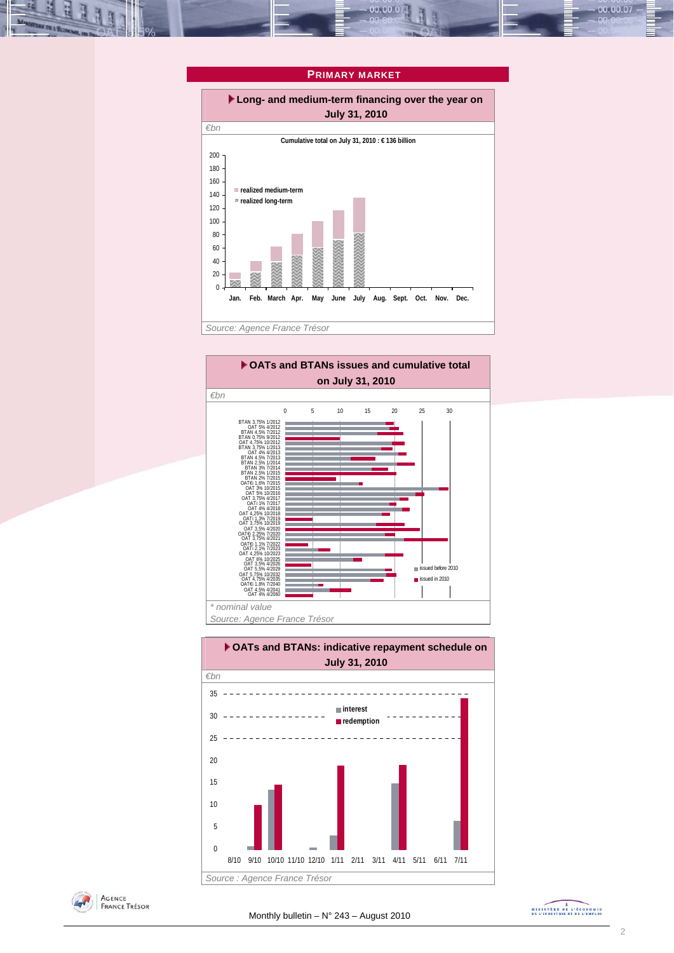

00.00.0







MINISTÈRE DE L'ÉCONOMIE

00.00.07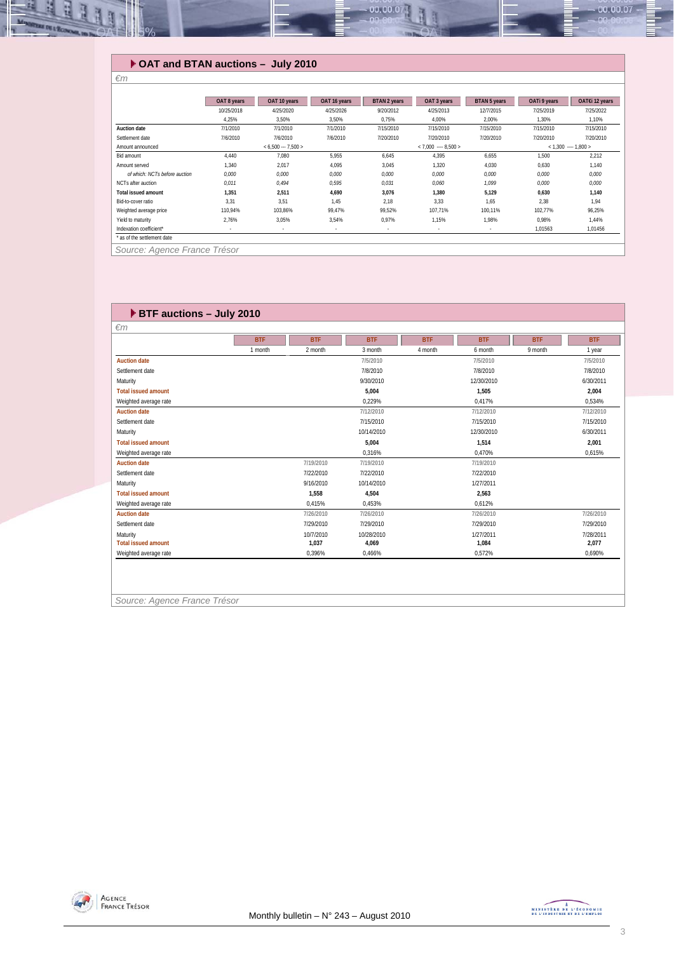

#### **OAT and BTAN auctions – July 2010**

*€m* 

|                               | OAT 8 years | OAT 10 years        | OAT 16 years | <b>BTAN 2 years</b> | OAT 3 years            | <b>BTAN 5 years</b> | OATi 9 years           | OAT€i 12 years |  |
|-------------------------------|-------------|---------------------|--------------|---------------------|------------------------|---------------------|------------------------|----------------|--|
|                               | 10/25/2018  | 4/25/2020           | 4/25/2026    | 9/20/2012           | 4/25/2013              | 12/7/2015           | 7/25/2019              | 7/25/2022      |  |
|                               | 4,25%       | 3,50%               | 3,50%        | 0,75%               | 4.00%                  | 2,00%               | 1,30%                  | 1,10%          |  |
| Auction date                  | 7/1/2010    | 7/1/2010            | 7/1/2010     | 7/15/2010           | 7/15/2010              | 7/15/2010           | 7/15/2010              | 7/15/2010      |  |
| Settlement date               | 7/6/2010    | 7/6/2010            | 7/6/2010     | 7/20/2010           | 7/20/2010              | 7/20/2010           | 7/20/2010              | 7/20/2010      |  |
| Amount announced              |             | $< 6.500 - 7.500 >$ |              |                     | $< 7.000$ ---- 8.500 > |                     | $< 1,300$ ---- 1,800 > |                |  |
| Bid amount                    | 4.440       | 7.080               | 5.955        | 6,645               | 4.395                  | 6,655               | 1.500                  | 2.212          |  |
| Amount served                 | 1,340       | 2.017               | 4,095        | 3,045               | 1,320                  | 4,030               | 0,630                  | 1.140          |  |
| of which: NCTs before auction | 0.000       | 0.000               | 0.000        | 0,000               | 0,000                  | 0,000               | 0.000                  | 0.000          |  |
| NCTs after auction            | 0,011       | 0.494               | 0,595        | 0,031               | 0,060                  | 1,099               | 0,000                  | 0,000          |  |
| <b>Total issued amount</b>    | 1,351       | 2,511               | 4,690        | 3,076               | 1,380                  | 5,129               | 0,630                  | 1,140          |  |
| Bid-to-cover ratio            | 3,31        | 3,51                | 1.45         | 2,18                | 3,33                   | 1,65                | 2,38                   | 1.94           |  |
| Weighted average price        | 110,94%     | 103,86%             | 99,47%       | 99,52%              | 107,71%                | 100,11%             | 102,77%                | 96,25%         |  |
| Yield to maturity             | 2,76%       | 3,05%               | 3,54%        | 0,97%               | 1,15%                  | 1,98%               | 0,98%                  | 1,44%          |  |
| Indexation coefficient*       | ٠           | $\sim$              | $\sim$       | $\sim$              |                        |                     | 1,01563                | 1,01456        |  |
| * as of the settlement date   |             |                     |              |                     |                        |                     |                        |                |  |
| Source: Agence France Trésor  |             |                     |              |                     |                        |                     |                        |                |  |

 **BTF auctions – July 2010**  *€m*  **BTF BTF BTF BTF BTF BTF BTF** 1 month 2 month 3 month 4 month 6 month 9 month 1 year **Auction date 7/5/2010 7/5/2010 7/5/2010** Settlement date 7/8/2010 7/8/2010 7/8/2010 Maturity 9/30/2010 12/30/2010 6/30/2011 **Total issued amount 1,505 2,004 1,505 2,004 1,505 2,004 2,004 2,004 1,505 2,004 2,004 2,004 2,004 2,004 2,004 2,004 2,004 2,534% 2,004 2,534% 2,534% 2,534% 2,534% 2,534% 2** Weighted average rate 0,417% 0,417% 0,417% 0,229% 0,417% 0,417% 0,417% 0,417% 0,417% 0,417% 0,417% 0,417% 0,417% **Auction date 7/12/2010 7/12/2010 7/12/2010** Settlement date 7/15/2010 7/15/2010 7/15/2010 Maturity 10/14/2010 12/30/2010 6/30/2011 **Total issued amount 1.514 1.514 1.514 1.514 1.514 2.001 1.514 2.001 1.514 2.001 2.001 2.001 2.001 2.001 2.001 2.001 2.001 2.001 2.001 2.001 2.001 2.001 2.001 2.001 2.001** Weighted average rate 0,470% 0,470% 0,470% 0,516% 0,516% 0,516% 0,470% 0,470% 0,470% 0,470% 0,470% 0,470% 0,470% 0,470% 0,470% 0,470% 0,470% 0,470% 0,470% 0,470% 0,470% 0,470% 0,470% 0,470% 0,470% 0,470% 0,470% 0,470% 0,47 **Auction date 7/19/2010 7/19/2010 7/19/2010** Settlement date 7/22/2010 7/22/2010 7/22/2010 Maturity 9/16/2010 10/14/2010 1/27/2011 **Total issued amount 1,558 4,504 2,563** Weighted average rate 0,612% 0,415% 0,453% 0,453% 0,612% **Auction date 7/26/2010 7/26/2010 7/26/2010 7/26/2010** Settlement date 7/29/2010 7/29/2010 7/29/2010 7/29/2010 Maturity 10/7/2010 10/28/2010 1/27/2011 7/28/2011 **1,037 1,084 1,084 1,084 1,084 1,084 1,084 1,084 1,084 1,084 1,084 1,084 1,084 1,084 1,084 1,084 1,084 1,084 1,090%**<br>  $0.396\%$  1,466% 1,572% 1,572% 1,690% 1,690% Weighted average rate 0,466% 0,466%

*Source: Agence France Trésor* 

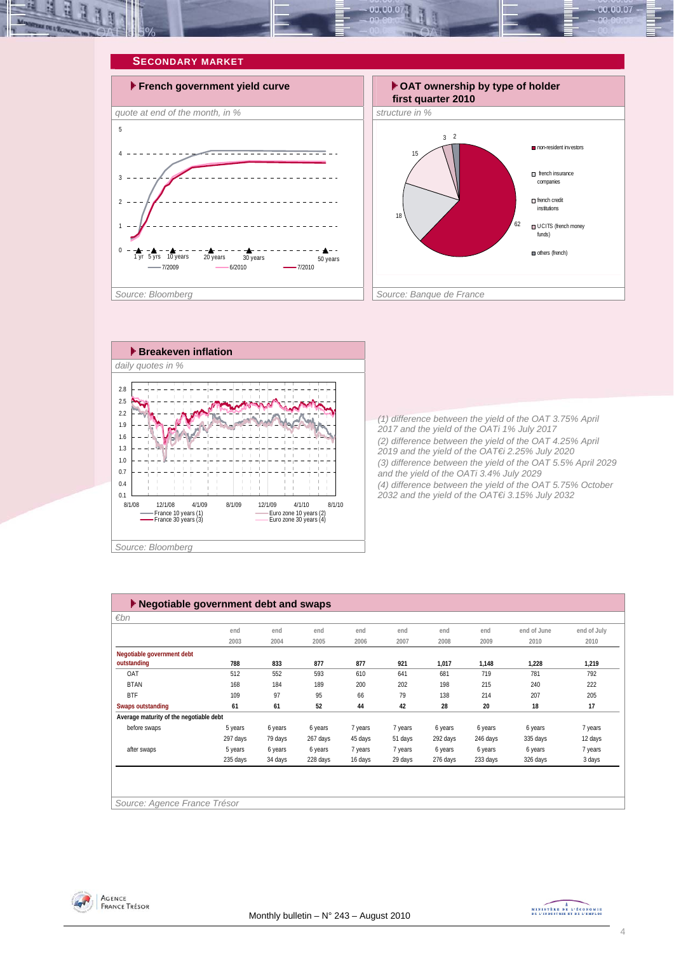







*(1) difference between the yield of the OAT 3.75% April 2017 and the yield of the OATi 1% July 2017 (2) difference between the yield of the OAT 4.25% April 2019 and the yield of the OAT€i 2.25% July 2020 (3) difference between the yield of the OAT 5.5% April 2029 and the yield of the OATi 3.4% July 2029 (4) difference between the yield of the OAT 5.75% October 2032 and the yield of the OAT€i 3.15% July 2032* 

| $\blacktriangleright$ Negotiable government debt and swaps |                              |         |          |         |         |          |          |             |             |  |
|------------------------------------------------------------|------------------------------|---------|----------|---------|---------|----------|----------|-------------|-------------|--|
| $\varepsilon$ bn                                           |                              |         |          |         |         |          |          |             |             |  |
|                                                            | end                          | end     | end      | end     | end     | end      | end      | end of June | end of July |  |
|                                                            | 2003                         | 2004    | 2005     | 2006    | 2007    | 2008     | 2009     | 2010        | 2010        |  |
| Negotiable government debt                                 |                              |         |          |         |         |          |          |             |             |  |
| outstanding                                                | 788                          | 833     | 877      | 877     | 921     | 1,017    | 1,148    | 1,228       | 1,219       |  |
| OAT                                                        | 512                          | 552     | 593      | 610     | 641     | 681      | 719      | 781         | 792         |  |
| <b>BTAN</b>                                                | 168                          | 184     | 189      | 200     | 202     | 198      | 215      | 240         | 222         |  |
| <b>BTF</b>                                                 | 109                          | 97      | 95       | 66      | 79      | 138      | 214      | 207         | 205         |  |
| Swaps outstanding                                          | 61                           | 61      | 52       | 44      | 42      | 28       | 20       | 18          | 17          |  |
| Average maturity of the negotiable debt                    |                              |         |          |         |         |          |          |             |             |  |
| before swaps                                               | 5 years                      | 6 years | 6 years  | 7 years | 7 years | 6 years  | 6 years  | 6 years     | 7 years     |  |
|                                                            | 297 days                     | 79 days | 267 days | 45 days | 51 days | 292 days | 246 days | 335 days    | 12 days     |  |
| after swaps                                                | 5 years                      | 6 years | 6 years  | 7 years | 7 years | 6 years  | 6 years  | 6 years     | 7 years     |  |
|                                                            | 235 days                     | 34 days | 228 days | 16 days | 29 days | 276 days | 233 days | 326 days    | 3 days      |  |
|                                                            |                              |         |          |         |         |          |          |             |             |  |
|                                                            |                              |         |          |         |         |          |          |             |             |  |
|                                                            |                              |         |          |         |         |          |          |             |             |  |
|                                                            | Source: Agence France Trésor |         |          |         |         |          |          |             |             |  |



MINISTRE DE L'ÉCONOMIE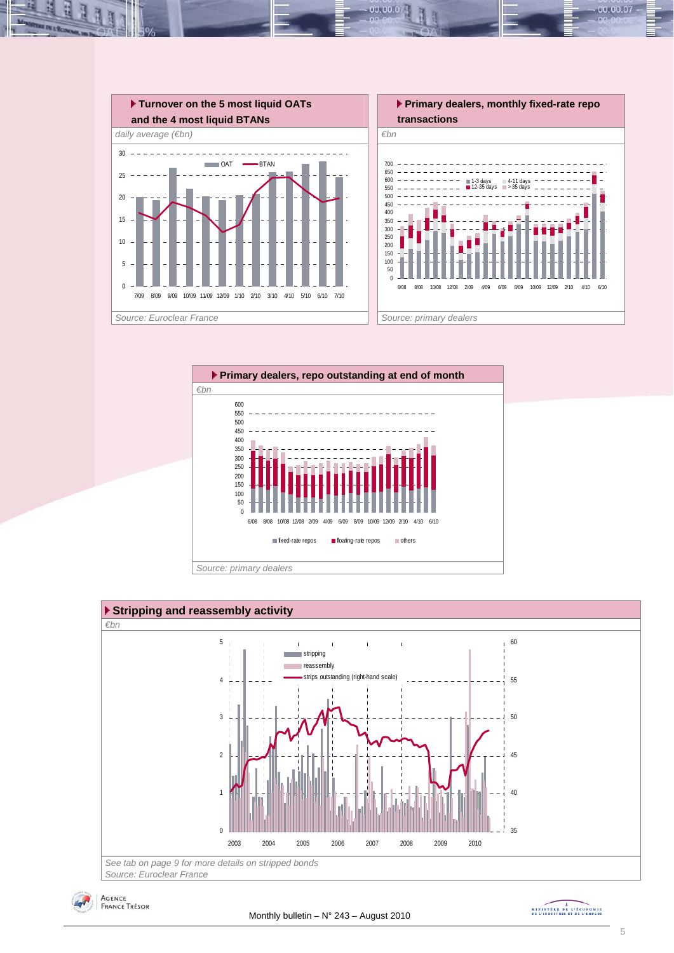

 $00.00.0$ 







MINISTRE DE L'ÉCONOMIE

00.00.07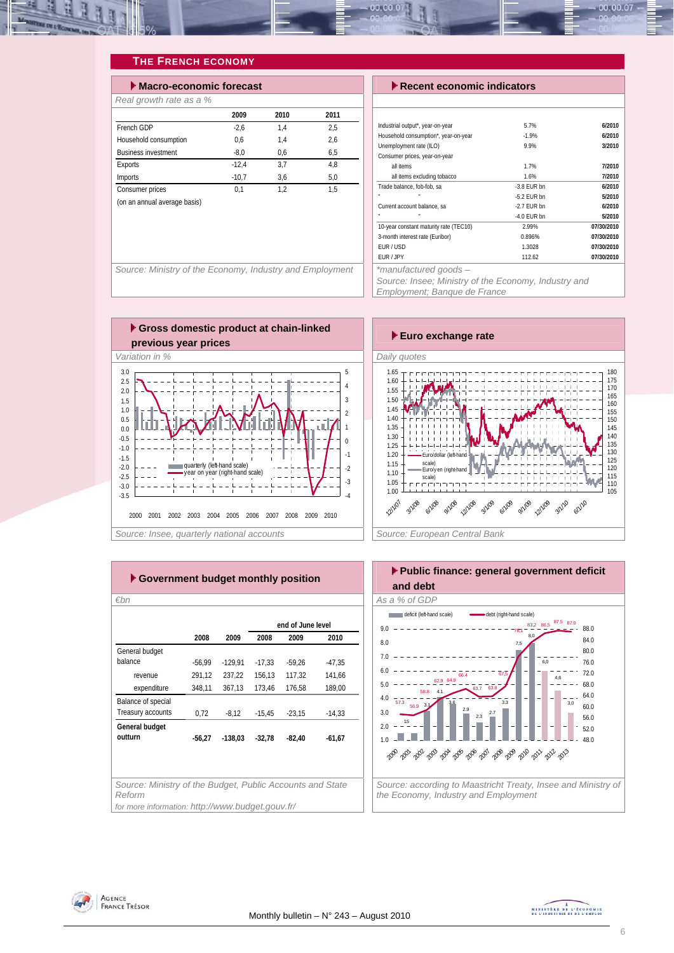

#### **THE FRENCH ECONOMY**

| $\blacktriangleright$ Macro-economic forecast |         |      |      |  |  |  |  |  |
|-----------------------------------------------|---------|------|------|--|--|--|--|--|
| Real growth rate as a %                       |         |      |      |  |  |  |  |  |
|                                               | 2009    | 2010 | 2011 |  |  |  |  |  |
| French GDP                                    | $-2.6$  | 1.4  | 2,5  |  |  |  |  |  |
| Household consumption                         | 0.6     | 1.4  | 2,6  |  |  |  |  |  |
| <b>Business investment</b>                    | $-8.0$  | 0.6  | 6.5  |  |  |  |  |  |
| Exports                                       | $-12.4$ | 3.7  | 4.8  |  |  |  |  |  |
| Imports                                       | $-10.7$ | 3.6  | 5.0  |  |  |  |  |  |
| Consumer prices                               | 0.1     | 1.2  | 1.5  |  |  |  |  |  |
| (on an annual average basis)                  |         |      |      |  |  |  |  |  |

#### **Execent economic indicators**

| Industrial output*, year-on-year                                                                                                                                                                                                 | 5.7%          | 6/2010     |
|----------------------------------------------------------------------------------------------------------------------------------------------------------------------------------------------------------------------------------|---------------|------------|
| Household consumption*, year-on-year                                                                                                                                                                                             | $-1.9%$       | 6/2010     |
| Unemployment rate (ILO)                                                                                                                                                                                                          | 9.9%          | 3/2010     |
| Consumer prices, year-on-year                                                                                                                                                                                                    |               |            |
| all items                                                                                                                                                                                                                        | 1.7%          | 7/2010     |
| all items excluding tobacco                                                                                                                                                                                                      | 1.6%          | 7/2010     |
| Trade balance, fob-fob, sa                                                                                                                                                                                                       | $-3.8$ FUR bn | 6/2010     |
| n,                                                                                                                                                                                                                               | $-5.2$ EUR bn | 5/2010     |
| Current account balance, sa                                                                                                                                                                                                      | -2.7 FUR bn   | 6/2010     |
|                                                                                                                                                                                                                                  | -4.0 EUR bn   | 5/2010     |
| 10-year constant maturity rate (TEC10)                                                                                                                                                                                           | 2.99%         | 07/30/2010 |
| 3-month interest rate (Euribor)                                                                                                                                                                                                  | 0.896%        | 07/30/2010 |
| EUR/USD                                                                                                                                                                                                                          | 1.3028        | 07/30/2010 |
| EUR / JPY                                                                                                                                                                                                                        | 112.62        | 07/30/2010 |
| *manufactured goods -                                                                                                                                                                                                            |               |            |
| $\cdots$ . The contract of the contract of the contract of the contract of the contract of the contract of the contract of the contract of the contract of the contract of the contract of the contract of the contract of the c | $\cdots$      |            |

*Source: Insee; Ministry of the Economy, Industry and Employment; Banque de France* 



 **Gross domestic product at chain-linked previous year prices** *i* change in the **Euro** exchange rate **previous** year prices *Variation in % Daily quotes*  3.0 5 2.5 4 2.0 1.5 3 1.0  $\overline{2}$ 0.5 1 0.0  $-0.5$ 0 -1.0 -1 -1.5 -2.0 -2 quarterly (left-hand scale) year on year (right-hand scale) -2.5 -3 -3.0  $L =$ -3.5 -4 2000 2001 2002 2003 2004 2005 2006 2007 2008 2009 2010 Source: Insee, quarterly national accounts **Source: European Central Bank Source: European Central Bank** 



| ► Government budget monthly position                                                   |          |           |                   |          |          |  |  |  |  |  |
|----------------------------------------------------------------------------------------|----------|-----------|-------------------|----------|----------|--|--|--|--|--|
| €bn                                                                                    |          |           |                   |          |          |  |  |  |  |  |
|                                                                                        |          |           | end of June level |          |          |  |  |  |  |  |
|                                                                                        | 2008     | 2009      | 2008              | 2009     | 2010     |  |  |  |  |  |
| General budget                                                                         |          |           |                   |          |          |  |  |  |  |  |
| halance                                                                                | $-56,99$ | $-129,91$ | $-17.33$          | $-59.26$ | $-47.35$ |  |  |  |  |  |
| revenue                                                                                | 291,12   | 237.22    | 156,13            | 117.32   | 141,66   |  |  |  |  |  |
| expenditure                                                                            | 348,11   | 367,13    | 173,46            | 176,58   | 189,00   |  |  |  |  |  |
| Balance of special                                                                     |          |           |                   |          |          |  |  |  |  |  |
| Treasury accounts                                                                      | 0.72     | $-8.12$   | $-15.45$          | $-23.15$ | $-14.33$ |  |  |  |  |  |
| General budget<br>outturn<br>$-56.27$<br>$-138.03$<br>$-32.78$<br>$-82.40$<br>$-61,67$ |          |           |                   |          |          |  |  |  |  |  |
|                                                                                        |          |           |                   |          |          |  |  |  |  |  |
|                                                                                        |          |           |                   |          |          |  |  |  |  |  |
| Source: Ministry of the Budget, Public Accounts and State<br>Reform                    |          |           |                   |          |          |  |  |  |  |  |
| for more information: http://www.budget.gouv.fr/                                       |          |           |                   |          |          |  |  |  |  |  |



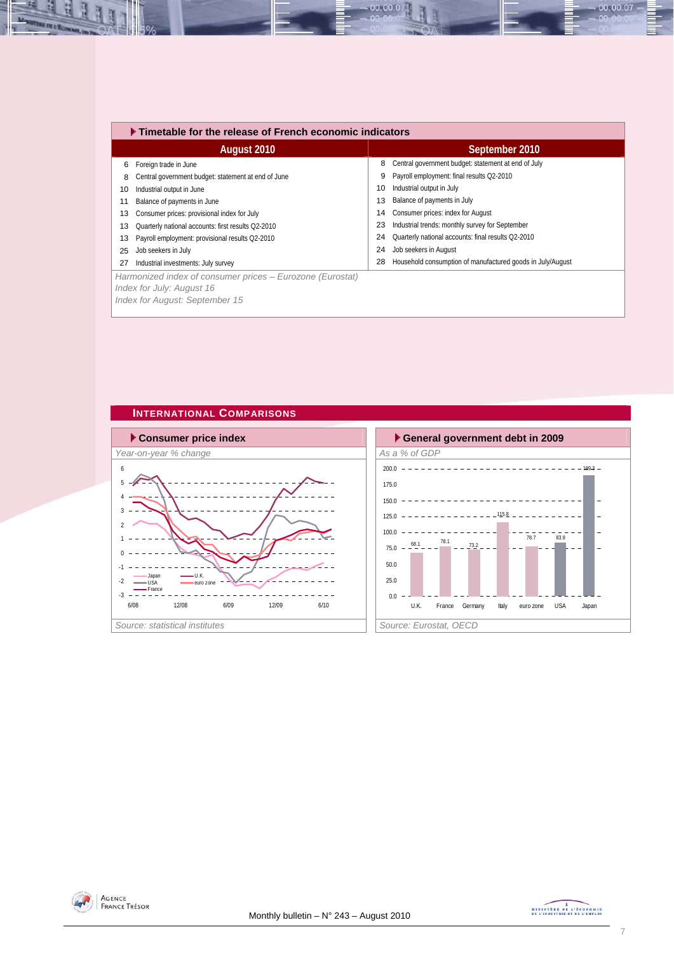|    | ▶ Timetable for the release of French economic indicators                              |    |                                                            |  |  |  |  |  |
|----|----------------------------------------------------------------------------------------|----|------------------------------------------------------------|--|--|--|--|--|
|    | August 2010                                                                            |    | September 2010                                             |  |  |  |  |  |
| 6  | Foreign trade in June                                                                  | 8  | Central government budget: statement at end of July        |  |  |  |  |  |
| 8  | Central government budget: statement at end of June                                    | 9  | Payroll employment: final results Q2-2010                  |  |  |  |  |  |
| 10 | Industrial output in June                                                              | 10 | Industrial output in July                                  |  |  |  |  |  |
| 11 | Balance of payments in June                                                            | 13 | Balance of payments in July                                |  |  |  |  |  |
| 13 | Consumer prices: provisional index for July                                            | 14 | Consumer prices: index for August                          |  |  |  |  |  |
| 13 | Quarterly national accounts: first results Q2-2010                                     | 23 | Industrial trends: monthly survey for September            |  |  |  |  |  |
| 13 | Payroll employment: provisional results Q2-2010                                        | 24 | Quarterly national accounts: final results Q2-2010         |  |  |  |  |  |
| 25 | Job seekers in July                                                                    | 24 | Job seekers in August                                      |  |  |  |  |  |
| 27 | Industrial investments: July survey                                                    | 28 | Household consumption of manufactured goods in July/August |  |  |  |  |  |
|    | Harmonized index of consumer prices – Eurozone (Eurostat)<br>Index for July: August 16 |    |                                                            |  |  |  |  |  |

00.00.0

*Index for August: September 15* 







00.00.07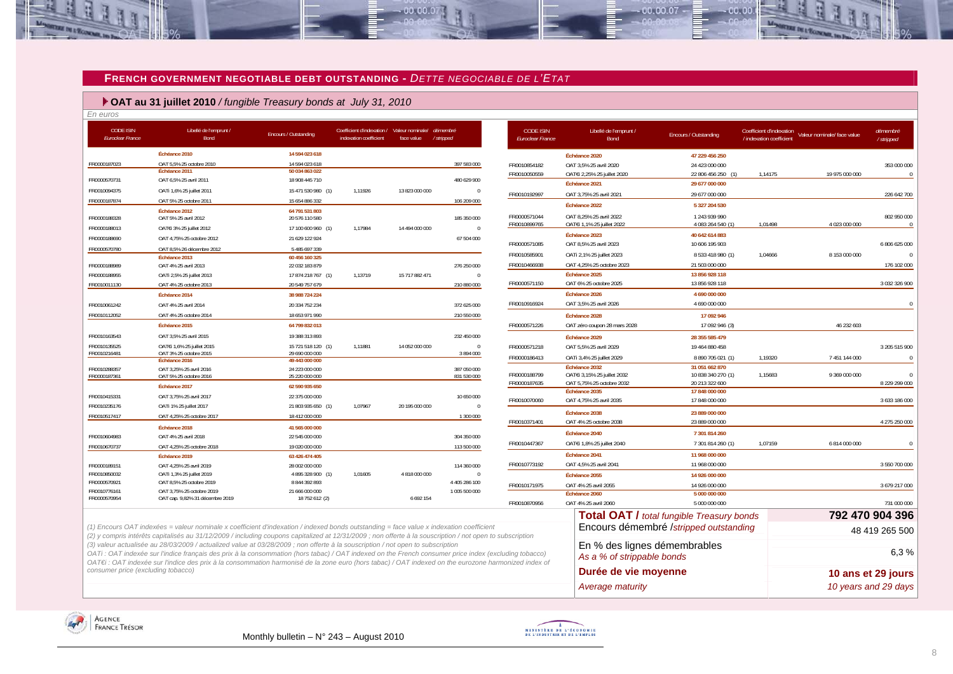#### **FRENCH GOVERNMENT NEGOTIABLE DEBT OUTSTANDING -** *DETTE NEGOCIABLE DE L'ETAT*

 $-00.00.07$ 

#### **OAT au 31 juillet 2010** */ fungible Treasury bonds at July 31, 2010*

*En euros* 

B

**OF IN 1 Tomes** 

R

≌

| <b>CODE ISIN</b><br><b>Euroclear France</b> | Libellé de l'emprunt /<br>Bond                                                                                                                                                                                                                                                                       | <b>Encours / Outstanding</b>         | Coefficient d'indexation / Valeur nominale/ démembre<br>indexation coefficient | face value     | /stripped                    | <b>CODE ISIN</b><br><b>Euroclear France</b> | Libellé de l'emprunt /<br><b>Bond</b>                      | Encours / Outstanding                            | Coefficient d'indexation<br>/ indexation coefficient | Valeur nominale/ face value | démembré<br>/ stripped |
|---------------------------------------------|------------------------------------------------------------------------------------------------------------------------------------------------------------------------------------------------------------------------------------------------------------------------------------------------------|--------------------------------------|--------------------------------------------------------------------------------|----------------|------------------------------|---------------------------------------------|------------------------------------------------------------|--------------------------------------------------|------------------------------------------------------|-----------------------------|------------------------|
|                                             | Échéance 2010                                                                                                                                                                                                                                                                                        | 14 594 023 618                       |                                                                                |                |                              |                                             | Échéance 2020                                              | 47 229 456 250                                   |                                                      |                             |                        |
| FR0000187023                                | OAT 5,5% 25 octobre 2010                                                                                                                                                                                                                                                                             | 14 594 023 618                       |                                                                                |                | 397 583 000                  | FR0010854182                                | OAT 3.5% 25 avril 2020                                     | 24 423 000 000                                   |                                                      |                             | 353 000 000            |
| FR0000570731                                | Échéance 2011<br>OAT 6.5% 25 avril 2011                                                                                                                                                                                                                                                              | 50 034 863 022<br>18 908 445 710     |                                                                                |                | 480 629 900                  | FR0010050559                                | OATEi 2,25% 25 juillet 2020                                | 22 806 456 250                                   | 1.14175                                              | 19 975 000 000              |                        |
| FR0010094375                                | OATi 1,6% 25 juillet 2011                                                                                                                                                                                                                                                                            | 15 471 530 980 (1)                   | 1,11926                                                                        | 13 823 000 000 | $\mathbf 0$                  |                                             | Échéance 2021                                              | 29 677 000 000                                   |                                                      |                             |                        |
| FR0000187874                                | OAT 5% 25 octobre 2011                                                                                                                                                                                                                                                                               | 15 654 886 332                       |                                                                                |                | 106 209 000                  | FR0010192997                                | OAT 3,75% 25 avril 2021                                    | 29 677 000 000                                   |                                                      |                             | 226 642 700            |
|                                             | Échéance 2012                                                                                                                                                                                                                                                                                        | 64 791 531 803                       |                                                                                |                |                              |                                             | Échéance 2022                                              | 5 327 204 530                                    |                                                      |                             |                        |
| FR0000188328                                | OAT 5% 25 avril 2012                                                                                                                                                                                                                                                                                 | 20 576 110 580                       |                                                                                |                | 185 350 000                  | FR0000571044                                | OAT 8.25% 25 avril 2022                                    | 1 243 939 990                                    |                                                      |                             | 802 950 000            |
| FR0000188013                                | OAT€i 3% 25 juillet 2012                                                                                                                                                                                                                                                                             | 17 100 600 960 (1)                   | 1,17984                                                                        | 14 494 000 000 | $\Omega$                     | FR0010899765                                | OATEi 1,1% 25 juillet 2022                                 | 4 083 264 540 (1)                                | 1,01498                                              | 4 023 000 000               |                        |
| FR0000188690                                | OAT 4,75% 25 octobre 2012                                                                                                                                                                                                                                                                            | 21 629 122 924                       |                                                                                |                | 67 504 000                   | FR0000571085                                | Échéance 2023<br>OAT 8,5% 25 avril 2023                    | 40 642 614 883<br>10 606 195 903                 |                                                      |                             | 6 806 625 000          |
| FR0000570780                                | OAT 8,5% 26 décembre 2012                                                                                                                                                                                                                                                                            | 5 485 697 339                        |                                                                                |                |                              |                                             |                                                            |                                                  |                                                      |                             |                        |
|                                             | Échéance 2013                                                                                                                                                                                                                                                                                        | 60 456 160 325                       |                                                                                |                |                              | FR0010585901                                | OATi 2,1% 25 juillet 2023                                  | 8 533 418 980 (1)                                | 1,04666                                              | 8 153 000 000               |                        |
| FR0000188989                                | OAT 4% 25 avril 2013                                                                                                                                                                                                                                                                                 | 22 032 183 879                       | 1.13719                                                                        | 15 717 882 471 | 276 250 000<br>$\mathbf{0}$  | FR0010466938                                | OAT 4,25% 25 octobre 2023<br>Échéance 2025                 | 21 503 000 000<br>13 856 928 118                 |                                                      |                             | 176 102 000            |
| FR0000188955<br>FR0010011130                | OATi 2,5% 25 juillet 2013<br>OAT 4% 25 octobre 2013                                                                                                                                                                                                                                                  | 17 874 218 767 (1)<br>20 549 757 679 |                                                                                |                | 210 880 000                  | FR0000571150                                | OAT 6% 25 octobre 2025                                     | 13 856 928 118                                   |                                                      |                             | 3 032 326 900          |
|                                             | Échéance 2014                                                                                                                                                                                                                                                                                        | 38 988 724 224                       |                                                                                |                |                              |                                             | Échéance 2026                                              | 4 690 000 000                                    |                                                      |                             |                        |
| FR0010061242                                | OAT 4% 25 avril 2014                                                                                                                                                                                                                                                                                 | 20 334 752 234                       |                                                                                |                | 372 625 000                  | FR0010916924                                | OAT 3,5% 25 avril 2026                                     | 4 690 000 000                                    |                                                      |                             | $\Omega$               |
| FR0010112052                                | OAT 4% 25 octobre 2014                                                                                                                                                                                                                                                                               | 18 653 971 990                       |                                                                                |                | 210 550 000                  |                                             | Échéance 2028                                              | 17 092 946                                       |                                                      |                             |                        |
|                                             | Échéance 2015                                                                                                                                                                                                                                                                                        | 64 799 832 013                       |                                                                                |                |                              | FR0000571226                                | OAT zéro coupon 28 mars 2028                               | 17 092 946 (3)                                   |                                                      | 46 232 603                  |                        |
| FR0010163543                                | OAT 3.5% 25 avril 2015                                                                                                                                                                                                                                                                               | 19 388 313 893                       |                                                                                |                | 232 450 000                  |                                             | Échéance 2029                                              |                                                  |                                                      |                             |                        |
| FR0010135525                                | OAT€i 1,6% 25 juillet 2015                                                                                                                                                                                                                                                                           | 15 721 518 120 (1)                   | 1,11881                                                                        | 14 052 000 000 | $\mathbf 0$                  | FR0000571218                                | OAT 5.5% 25 avril 2029                                     | 28 355 585 479<br>19 464 880 458                 |                                                      |                             | 3 205 515 900          |
| FR0010216481                                | OAT 3% 25 octobre 2015                                                                                                                                                                                                                                                                               | 29 690 000 000                       |                                                                                |                | 3894000                      | FR0000186413                                | OATi 3,4% 25 juillet 2029                                  | 8 890 705 021 (1)                                | 1,19320                                              | 7 451 144 000               |                        |
|                                             | Échéance 2016                                                                                                                                                                                                                                                                                        | 49 443 000 000                       |                                                                                |                |                              |                                             | Échéance 2032                                              | 31 051 662 870                                   |                                                      |                             |                        |
| FR0010288357<br>FR0000187361                | OAT 3,25% 25 avril 2016<br>OAT 5% 25 octobre 2016                                                                                                                                                                                                                                                    | 24 223 000 000<br>25 220 000 000     |                                                                                |                | 387 050 000<br>831 530 000   | FR0000188799                                | OATEi 3,15% 25 juillet 2032                                | 10 838 340 270 (1)                               | 1,15683                                              | 9 369 000 000               |                        |
|                                             | Échéance 2017                                                                                                                                                                                                                                                                                        | 62 590 935 650                       |                                                                                |                |                              | FR0000187635                                | OAT 5,75% 25 octobre 2032                                  | 20 213 322 600                                   |                                                      |                             | 8 229 299 000          |
| FR0010415331                                | OAT 3,75% 25 avril 2017                                                                                                                                                                                                                                                                              | 22 375 000 000                       |                                                                                |                | 10 650 000                   |                                             | Échéance 2035                                              | 17 848 000 000                                   |                                                      |                             |                        |
| FR0010235176                                | OATi 1% 25 juillet 2017                                                                                                                                                                                                                                                                              | 21 803 935 650 (1)                   | 1,07967                                                                        | 20 195 000 000 | $\mathbf{0}$                 | FR0010070060                                | OAT 4,75% 25 avril 2035                                    | 17 848 000 000                                   |                                                      |                             | 3 633 186 000          |
| FR0010517417                                | OAT 4,25% 25 octobre 2017                                                                                                                                                                                                                                                                            | 18 412 000 000                       |                                                                                |                | 1 300 000                    |                                             | Échéance 2038                                              | 23 889 000 000                                   |                                                      |                             |                        |
|                                             | Échéance 2018                                                                                                                                                                                                                                                                                        | 41 565 000 000                       |                                                                                |                |                              | FR0010371401                                | OAT 4% 25 octobre 2038                                     | 23 889 000 000                                   |                                                      |                             | 4 275 250 000          |
| FR0010604983                                | OAT 4% 25 avril 2018                                                                                                                                                                                                                                                                                 | 22 545 000 000                       |                                                                                |                | 304 350 000                  |                                             | Échéance 2040                                              | 7 301 814 260                                    |                                                      |                             |                        |
| FR0010670737                                | OAT 4,25% 25 octobre 2018                                                                                                                                                                                                                                                                            | 19 020 000 000                       |                                                                                |                | 113 500 000                  | FR0010447367                                | OATEi 1,8% 25 juillet 2040                                 | 7 301 814 260 (1)                                | 1,07159                                              | 6 814 000 000               |                        |
|                                             | Échéance 2019                                                                                                                                                                                                                                                                                        | 63 426 474 405                       |                                                                                |                |                              |                                             | Échéance 2041                                              | 11 968 000 000                                   |                                                      |                             |                        |
| FR0000189151                                | OAT 4,25% 25 avril 2019                                                                                                                                                                                                                                                                              | 28 002 000 000                       |                                                                                |                | 114 360 000                  | FR0010773192                                | OAT 4,5% 25 avril 2041                                     | 11 968 000 000                                   |                                                      |                             | 3 550 700 000          |
| FR0010850032<br>FR0000570921                | OATi 1,3% 25 juillet 2019<br>OAT 8,5% 25 octobre 2019                                                                                                                                                                                                                                                | 4 895 328 900 (1)<br>8 844 392 893   | 1,01605                                                                        | 4 818 000 000  | $\mathbf 0$<br>4 405 286 100 |                                             | Échéance 2055                                              | 14 926 000 000                                   |                                                      |                             |                        |
| FR0010776161                                | OAT 3,75% 25 octobre 2019                                                                                                                                                                                                                                                                            | 21 666 000 000                       |                                                                                |                | 1 005 500 000                | FR0010171975                                | OAT 4% 25 avril 2055                                       | 14 926 000 000                                   |                                                      |                             | 3 679 217 000          |
| FR0000570954                                | OAT cap. 9,82% 31 décembre 2019                                                                                                                                                                                                                                                                      | 18 752 612 (2)                       |                                                                                | 6 692 154      |                              | FR0010870956                                | Échéance 2060<br>OAT 4% 25 avril 2060                      | 5 000 000 000<br>5 000 000 000                   |                                                      |                             | 731 000 000            |
|                                             |                                                                                                                                                                                                                                                                                                      |                                      |                                                                                |                |                              |                                             |                                                            |                                                  |                                                      |                             |                        |
|                                             |                                                                                                                                                                                                                                                                                                      |                                      |                                                                                |                |                              |                                             |                                                            | <b>Total OAT / total fungible Treasury bonds</b> |                                                      |                             | 792 470 904 396        |
|                                             | (1) Encours OAT indexées = valeur nominale x coefficient d'indexation / indexed bonds outstanding = face value x indexation coefficient<br>(2) y compris intérêts capitalisés au 31/12/2009 / including coupons capitalized at 12/31/2009 ; non offerte à la souscription / not open to subscription |                                      |                                                                                |                |                              |                                             |                                                            | Encours démembré /stripped outstanding           |                                                      |                             | 48 419 265 500         |
|                                             | (3) valeur actualisée au 28/03/2009 / actualized value at 03/28/2009 ; non offerte à la souscription / not open to subscription<br>OATi : OAT indexée sur l'indice français des prix à la consommation (hors tabac) / OAT indexed on the French consumer price index (excluding tobacco)             |                                      |                                                                                |                |                              |                                             | En % des lignes démembrables<br>As a % of strippable bonds |                                                  |                                                      |                             | 6,3%                   |
| consumer price (excluding tobacco)          | OAT€i : OAT indexée sur l'indice des prix à la consommation harmonisé de la zone euro (hors tabac) / OAT indexed on the eurozone harmonized index of                                                                                                                                                 |                                      |                                                                                |                |                              |                                             | Durée de vie moyenne                                       |                                                  |                                                      |                             | 10 ans et 29 jours     |
|                                             |                                                                                                                                                                                                                                                                                                      |                                      |                                                                                |                |                              |                                             | Average maturity                                           |                                                  |                                                      |                             | 10 years and 29 days   |





 $-00,00,07$ 

 $00.00$